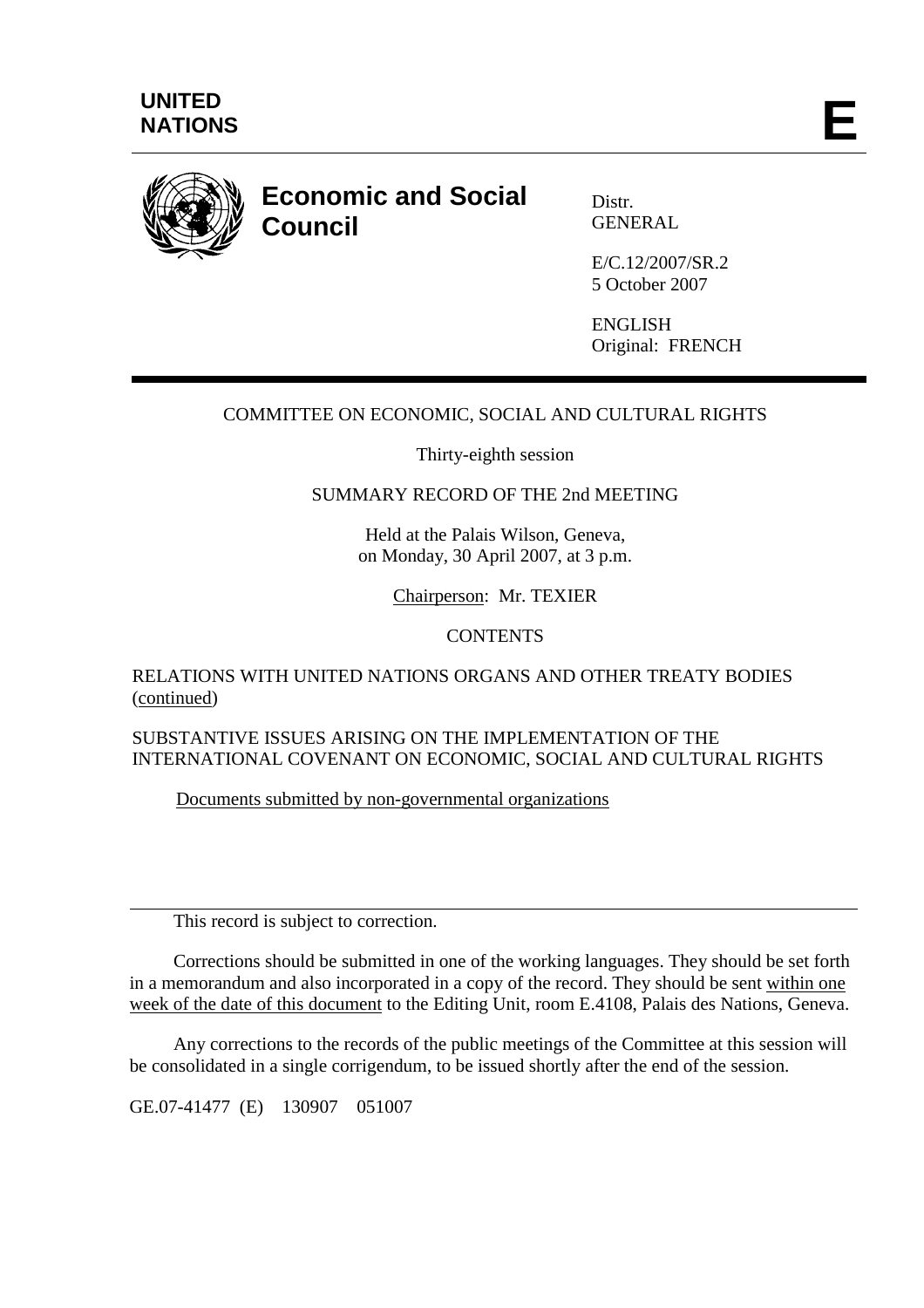

# **Economic and Social Council**

Distr. **GENERAL** 

E/C.12/2007/SR.2 5 October 2007

ENGLISH Original: FRENCH

# COMMITTEE ON ECONOMIC, SOCIAL AND CULTURAL RIGHTS

Thirty-eighth session

## SUMMARY RECORD OF THE 2nd MEETING

Held at the Palais Wilson, Geneva, on Monday, 30 April 2007, at 3 p.m.

Chairperson: Mr. TEXIER

## **CONTENTS**

## RELATIONS WITH UNITED NATIONS ORGANS AND OTHER TREATY BODIES (continued)

SUBSTANTIVE ISSUES ARISING ON THE IMPLEMENTATION OF THE INTERNATIONAL COVENANT ON ECONOMIC, SOCIAL AND CULTURAL RIGHTS

Documents submitted by non-governmental organizations

This record is subject to correction.

 Corrections should be submitted in one of the working languages. They should be set forth in a memorandum and also incorporated in a copy of the record. They should be sent within one week of the date of this document to the Editing Unit, room E.4108, Palais des Nations, Geneva.

 Any corrections to the records of the public meetings of the Committee at this session will be consolidated in a single corrigendum, to be issued shortly after the end of the session.

GE.07-41477 (E) 130907 051007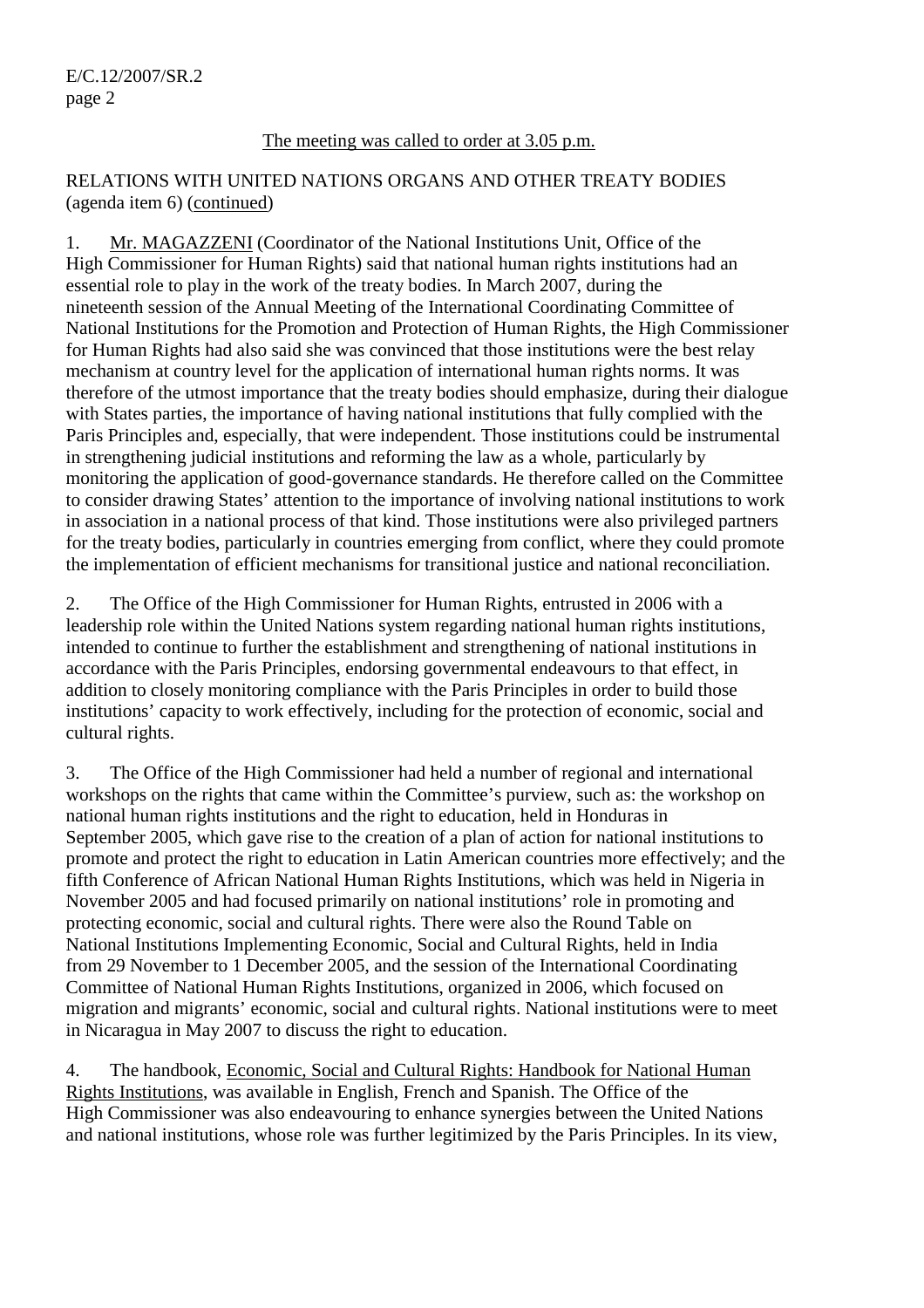#### The meeting was called to order at 3.05 p.m.

#### RELATIONS WITH UNITED NATIONS ORGANS AND OTHER TREATY BODIES (agenda item 6) (continued)

1. Mr. MAGAZZENI (Coordinator of the National Institutions Unit, Office of the High Commissioner for Human Rights) said that national human rights institutions had an essential role to play in the work of the treaty bodies. In March 2007, during the nineteenth session of the Annual Meeting of the International Coordinating Committee of National Institutions for the Promotion and Protection of Human Rights, the High Commissioner for Human Rights had also said she was convinced that those institutions were the best relay mechanism at country level for the application of international human rights norms. It was therefore of the utmost importance that the treaty bodies should emphasize, during their dialogue with States parties, the importance of having national institutions that fully complied with the Paris Principles and, especially, that were independent. Those institutions could be instrumental in strengthening judicial institutions and reforming the law as a whole, particularly by monitoring the application of good-governance standards. He therefore called on the Committee to consider drawing States' attention to the importance of involving national institutions to work in association in a national process of that kind. Those institutions were also privileged partners for the treaty bodies, particularly in countries emerging from conflict, where they could promote the implementation of efficient mechanisms for transitional justice and national reconciliation.

2. The Office of the High Commissioner for Human Rights, entrusted in 2006 with a leadership role within the United Nations system regarding national human rights institutions, intended to continue to further the establishment and strengthening of national institutions in accordance with the Paris Principles, endorsing governmental endeavours to that effect, in addition to closely monitoring compliance with the Paris Principles in order to build those institutions' capacity to work effectively, including for the protection of economic, social and cultural rights.

3. The Office of the High Commissioner had held a number of regional and international workshops on the rights that came within the Committee's purview, such as: the workshop on national human rights institutions and the right to education, held in Honduras in September 2005, which gave rise to the creation of a plan of action for national institutions to promote and protect the right to education in Latin American countries more effectively; and the fifth Conference of African National Human Rights Institutions, which was held in Nigeria in November 2005 and had focused primarily on national institutions' role in promoting and protecting economic, social and cultural rights. There were also the Round Table on National Institutions Implementing Economic, Social and Cultural Rights, held in India from 29 November to 1 December 2005, and the session of the International Coordinating Committee of National Human Rights Institutions, organized in 2006, which focused on migration and migrants' economic, social and cultural rights. National institutions were to meet in Nicaragua in May 2007 to discuss the right to education.

4. The handbook, Economic, Social and Cultural Rights: Handbook for National Human Rights Institutions, was available in English, French and Spanish. The Office of the High Commissioner was also endeavouring to enhance synergies between the United Nations and national institutions, whose role was further legitimized by the Paris Principles. In its view,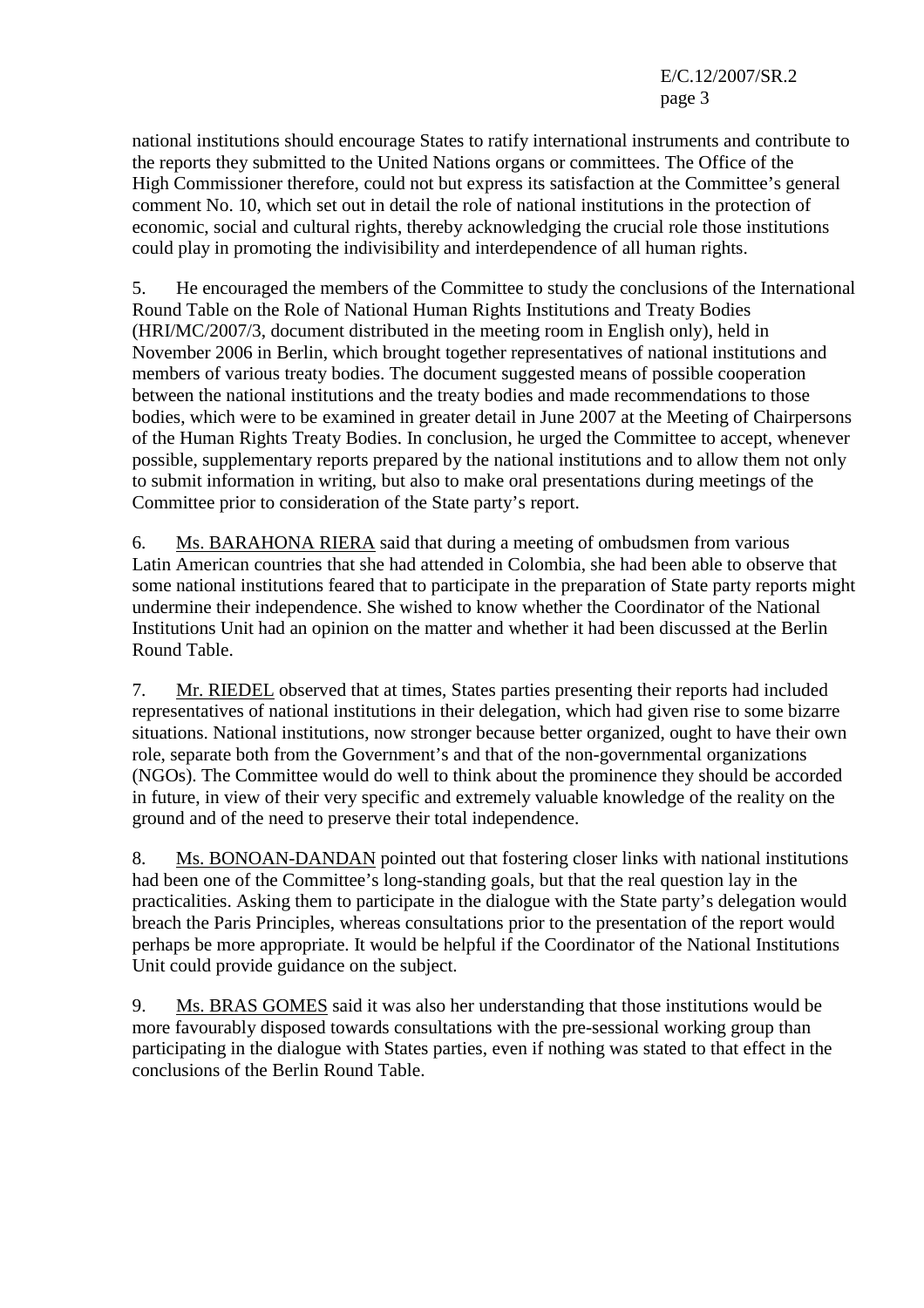national institutions should encourage States to ratify international instruments and contribute to the reports they submitted to the United Nations organs or committees. The Office of the High Commissioner therefore, could not but express its satisfaction at the Committee's general comment No. 10, which set out in detail the role of national institutions in the protection of economic, social and cultural rights, thereby acknowledging the crucial role those institutions could play in promoting the indivisibility and interdependence of all human rights.

5. He encouraged the members of the Committee to study the conclusions of the International Round Table on the Role of National Human Rights Institutions and Treaty Bodies (HRI/MC/2007/3, document distributed in the meeting room in English only), held in November 2006 in Berlin, which brought together representatives of national institutions and members of various treaty bodies. The document suggested means of possible cooperation between the national institutions and the treaty bodies and made recommendations to those bodies, which were to be examined in greater detail in June 2007 at the Meeting of Chairpersons of the Human Rights Treaty Bodies. In conclusion, he urged the Committee to accept, whenever possible, supplementary reports prepared by the national institutions and to allow them not only to submit information in writing, but also to make oral presentations during meetings of the Committee prior to consideration of the State party's report.

6. Ms. BARAHONA RIERA said that during a meeting of ombudsmen from various Latin American countries that she had attended in Colombia, she had been able to observe that some national institutions feared that to participate in the preparation of State party reports might undermine their independence. She wished to know whether the Coordinator of the National Institutions Unit had an opinion on the matter and whether it had been discussed at the Berlin Round Table.

7. Mr. RIEDEL observed that at times, States parties presenting their reports had included representatives of national institutions in their delegation, which had given rise to some bizarre situations. National institutions, now stronger because better organized, ought to have their own role, separate both from the Government's and that of the non-governmental organizations (NGOs). The Committee would do well to think about the prominence they should be accorded in future, in view of their very specific and extremely valuable knowledge of the reality on the ground and of the need to preserve their total independence.

8. Ms. BONOAN-DANDAN pointed out that fostering closer links with national institutions had been one of the Committee's long-standing goals, but that the real question lay in the practicalities. Asking them to participate in the dialogue with the State party's delegation would breach the Paris Principles, whereas consultations prior to the presentation of the report would perhaps be more appropriate. It would be helpful if the Coordinator of the National Institutions Unit could provide guidance on the subject.

9. Ms. BRAS GOMES said it was also her understanding that those institutions would be more favourably disposed towards consultations with the pre-sessional working group than participating in the dialogue with States parties, even if nothing was stated to that effect in the conclusions of the Berlin Round Table.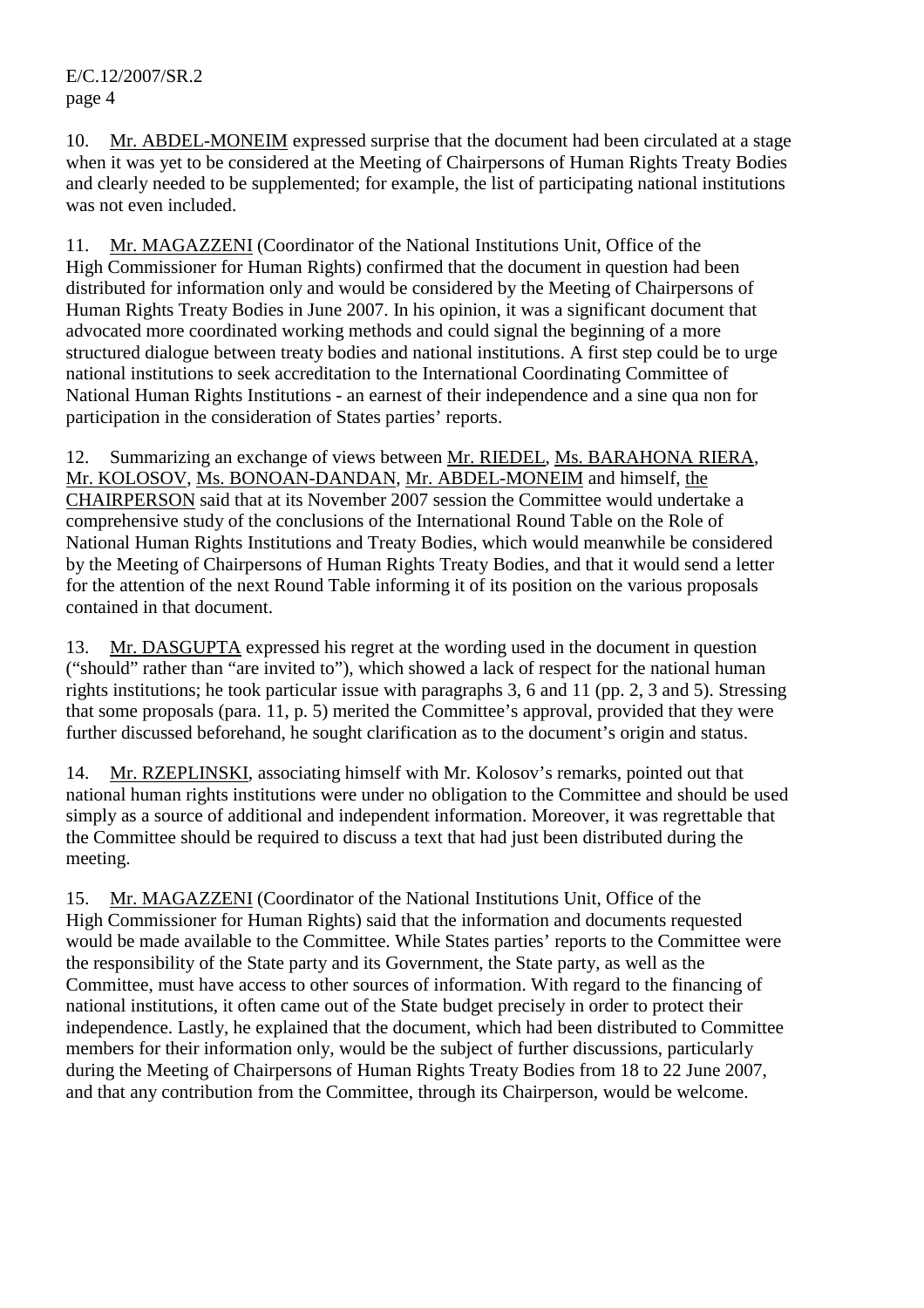10. Mr. ABDEL-MONEIM expressed surprise that the document had been circulated at a stage when it was yet to be considered at the Meeting of Chairpersons of Human Rights Treaty Bodies and clearly needed to be supplemented; for example, the list of participating national institutions was not even included.

11. Mr. MAGAZZENI (Coordinator of the National Institutions Unit, Office of the High Commissioner for Human Rights) confirmed that the document in question had been distributed for information only and would be considered by the Meeting of Chairpersons of Human Rights Treaty Bodies in June 2007. In his opinion, it was a significant document that advocated more coordinated working methods and could signal the beginning of a more structured dialogue between treaty bodies and national institutions. A first step could be to urge national institutions to seek accreditation to the International Coordinating Committee of National Human Rights Institutions - an earnest of their independence and a sine qua non for participation in the consideration of States parties' reports.

12. Summarizing an exchange of views between Mr. RIEDEL, Ms. BARAHONA RIERA, Mr. KOLOSOV, Ms. BONOAN-DANDAN, Mr. ABDEL-MONEIM and himself, the CHAIRPERSON said that at its November 2007 session the Committee would undertake a comprehensive study of the conclusions of the International Round Table on the Role of National Human Rights Institutions and Treaty Bodies, which would meanwhile be considered by the Meeting of Chairpersons of Human Rights Treaty Bodies, and that it would send a letter for the attention of the next Round Table informing it of its position on the various proposals contained in that document.

13. Mr. DASGUPTA expressed his regret at the wording used in the document in question ("should" rather than "are invited to"), which showed a lack of respect for the national human rights institutions; he took particular issue with paragraphs 3, 6 and 11 (pp. 2, 3 and 5). Stressing that some proposals (para. 11, p. 5) merited the Committee's approval, provided that they were further discussed beforehand, he sought clarification as to the document's origin and status.

14. Mr. RZEPLINSKI, associating himself with Mr. Kolosov's remarks, pointed out that national human rights institutions were under no obligation to the Committee and should be used simply as a source of additional and independent information. Moreover, it was regrettable that the Committee should be required to discuss a text that had just been distributed during the meeting.

15. Mr. MAGAZZENI (Coordinator of the National Institutions Unit, Office of the High Commissioner for Human Rights) said that the information and documents requested would be made available to the Committee. While States parties' reports to the Committee were the responsibility of the State party and its Government, the State party, as well as the Committee, must have access to other sources of information. With regard to the financing of national institutions, it often came out of the State budget precisely in order to protect their independence. Lastly, he explained that the document, which had been distributed to Committee members for their information only, would be the subject of further discussions, particularly during the Meeting of Chairpersons of Human Rights Treaty Bodies from 18 to 22 June 2007, and that any contribution from the Committee, through its Chairperson, would be welcome.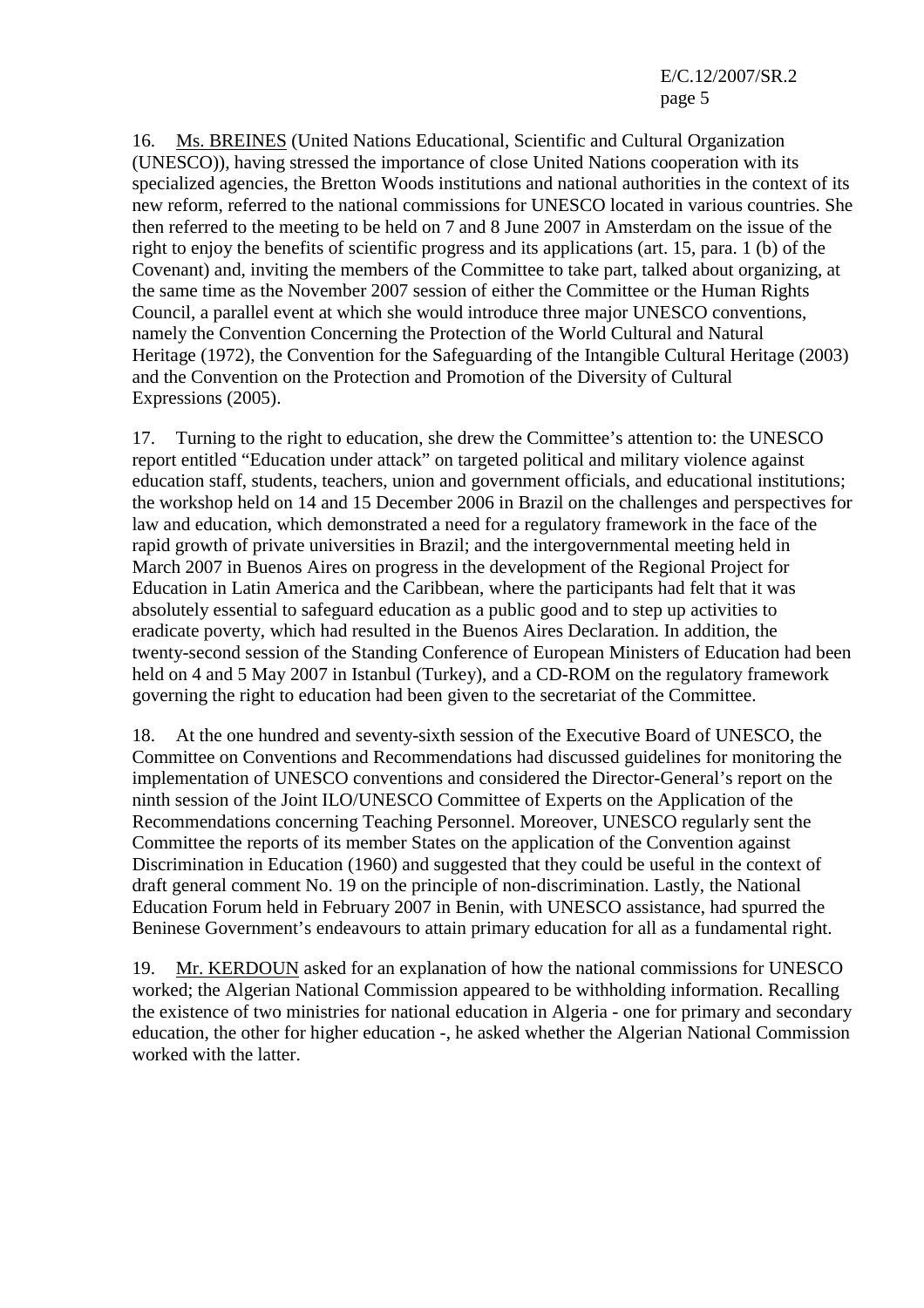16. Ms. BREINES (United Nations Educational, Scientific and Cultural Organization (UNESCO)), having stressed the importance of close United Nations cooperation with its specialized agencies, the Bretton Woods institutions and national authorities in the context of its new reform, referred to the national commissions for UNESCO located in various countries. She then referred to the meeting to be held on 7 and 8 June 2007 in Amsterdam on the issue of the right to enjoy the benefits of scientific progress and its applications (art. 15, para. 1 (b) of the Covenant) and, inviting the members of the Committee to take part, talked about organizing, at the same time as the November 2007 session of either the Committee or the Human Rights Council, a parallel event at which she would introduce three major UNESCO conventions, namely the Convention Concerning the Protection of the World Cultural and Natural Heritage (1972), the Convention for the Safeguarding of the Intangible Cultural Heritage (2003) and the Convention on the Protection and Promotion of the Diversity of Cultural Expressions (2005).

17. Turning to the right to education, she drew the Committee's attention to: the UNESCO report entitled "Education under attack" on targeted political and military violence against education staff, students, teachers, union and government officials, and educational institutions; the workshop held on 14 and 15 December 2006 in Brazil on the challenges and perspectives for law and education, which demonstrated a need for a regulatory framework in the face of the rapid growth of private universities in Brazil; and the intergovernmental meeting held in March 2007 in Buenos Aires on progress in the development of the Regional Project for Education in Latin America and the Caribbean, where the participants had felt that it was absolutely essential to safeguard education as a public good and to step up activities to eradicate poverty, which had resulted in the Buenos Aires Declaration. In addition, the twenty-second session of the Standing Conference of European Ministers of Education had been held on 4 and 5 May 2007 in Istanbul (Turkey), and a CD-ROM on the regulatory framework governing the right to education had been given to the secretariat of the Committee.

18. At the one hundred and seventy-sixth session of the Executive Board of UNESCO, the Committee on Conventions and Recommendations had discussed guidelines for monitoring the implementation of UNESCO conventions and considered the Director-General's report on the ninth session of the Joint ILO/UNESCO Committee of Experts on the Application of the Recommendations concerning Teaching Personnel. Moreover, UNESCO regularly sent the Committee the reports of its member States on the application of the Convention against Discrimination in Education (1960) and suggested that they could be useful in the context of draft general comment No. 19 on the principle of non-discrimination. Lastly, the National Education Forum held in February 2007 in Benin, with UNESCO assistance, had spurred the Beninese Government's endeavours to attain primary education for all as a fundamental right.

19. Mr. KERDOUN asked for an explanation of how the national commissions for UNESCO worked; the Algerian National Commission appeared to be withholding information. Recalling the existence of two ministries for national education in Algeria - one for primary and secondary education, the other for higher education -, he asked whether the Algerian National Commission worked with the latter.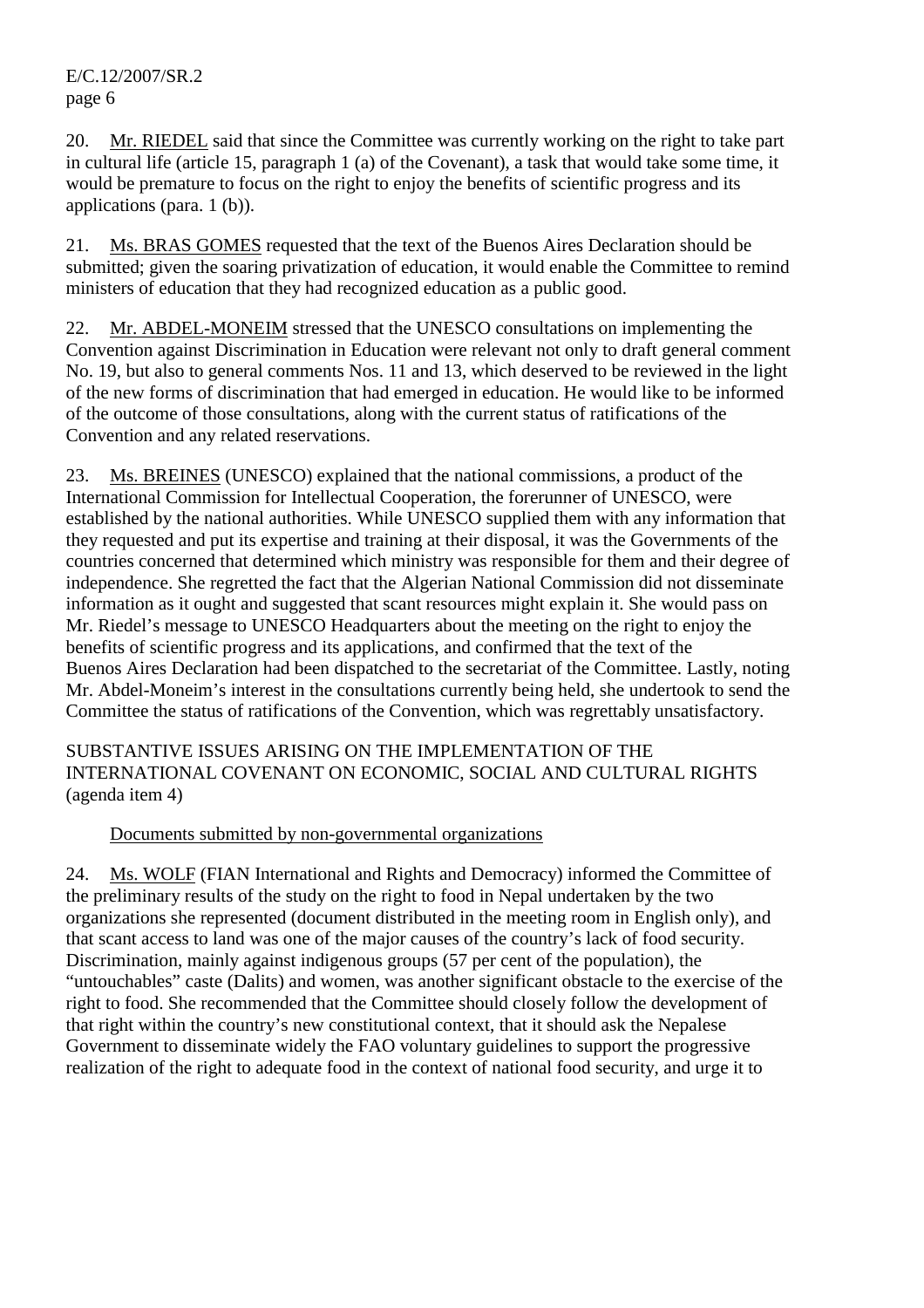20. Mr. RIEDEL said that since the Committee was currently working on the right to take part in cultural life (article 15, paragraph 1 (a) of the Covenant), a task that would take some time, it would be premature to focus on the right to enjoy the benefits of scientific progress and its applications (para. 1 (b)).

21. Ms. BRAS GOMES requested that the text of the Buenos Aires Declaration should be submitted; given the soaring privatization of education, it would enable the Committee to remind ministers of education that they had recognized education as a public good.

22. Mr. ABDEL-MONEIM stressed that the UNESCO consultations on implementing the Convention against Discrimination in Education were relevant not only to draft general comment No. 19, but also to general comments Nos. 11 and 13, which deserved to be reviewed in the light of the new forms of discrimination that had emerged in education. He would like to be informed of the outcome of those consultations, along with the current status of ratifications of the Convention and any related reservations.

23. Ms. BREINES (UNESCO) explained that the national commissions, a product of the International Commission for Intellectual Cooperation, the forerunner of UNESCO, were established by the national authorities. While UNESCO supplied them with any information that they requested and put its expertise and training at their disposal, it was the Governments of the countries concerned that determined which ministry was responsible for them and their degree of independence. She regretted the fact that the Algerian National Commission did not disseminate information as it ought and suggested that scant resources might explain it. She would pass on Mr. Riedel's message to UNESCO Headquarters about the meeting on the right to enjoy the benefits of scientific progress and its applications, and confirmed that the text of the Buenos Aires Declaration had been dispatched to the secretariat of the Committee. Lastly, noting Mr. Abdel-Moneim's interest in the consultations currently being held, she undertook to send the Committee the status of ratifications of the Convention, which was regrettably unsatisfactory.

SUBSTANTIVE ISSUES ARISING ON THE IMPLEMENTATION OF THE INTERNATIONAL COVENANT ON ECONOMIC, SOCIAL AND CULTURAL RIGHTS (agenda item 4)

## Documents submitted by non-governmental organizations

24. Ms. WOLF (FIAN International and Rights and Democracy) informed the Committee of the preliminary results of the study on the right to food in Nepal undertaken by the two organizations she represented (document distributed in the meeting room in English only), and that scant access to land was one of the major causes of the country's lack of food security. Discrimination, mainly against indigenous groups (57 per cent of the population), the "untouchables" caste (Dalits) and women, was another significant obstacle to the exercise of the right to food. She recommended that the Committee should closely follow the development of that right within the country's new constitutional context, that it should ask the Nepalese Government to disseminate widely the FAO voluntary guidelines to support the progressive realization of the right to adequate food in the context of national food security, and urge it to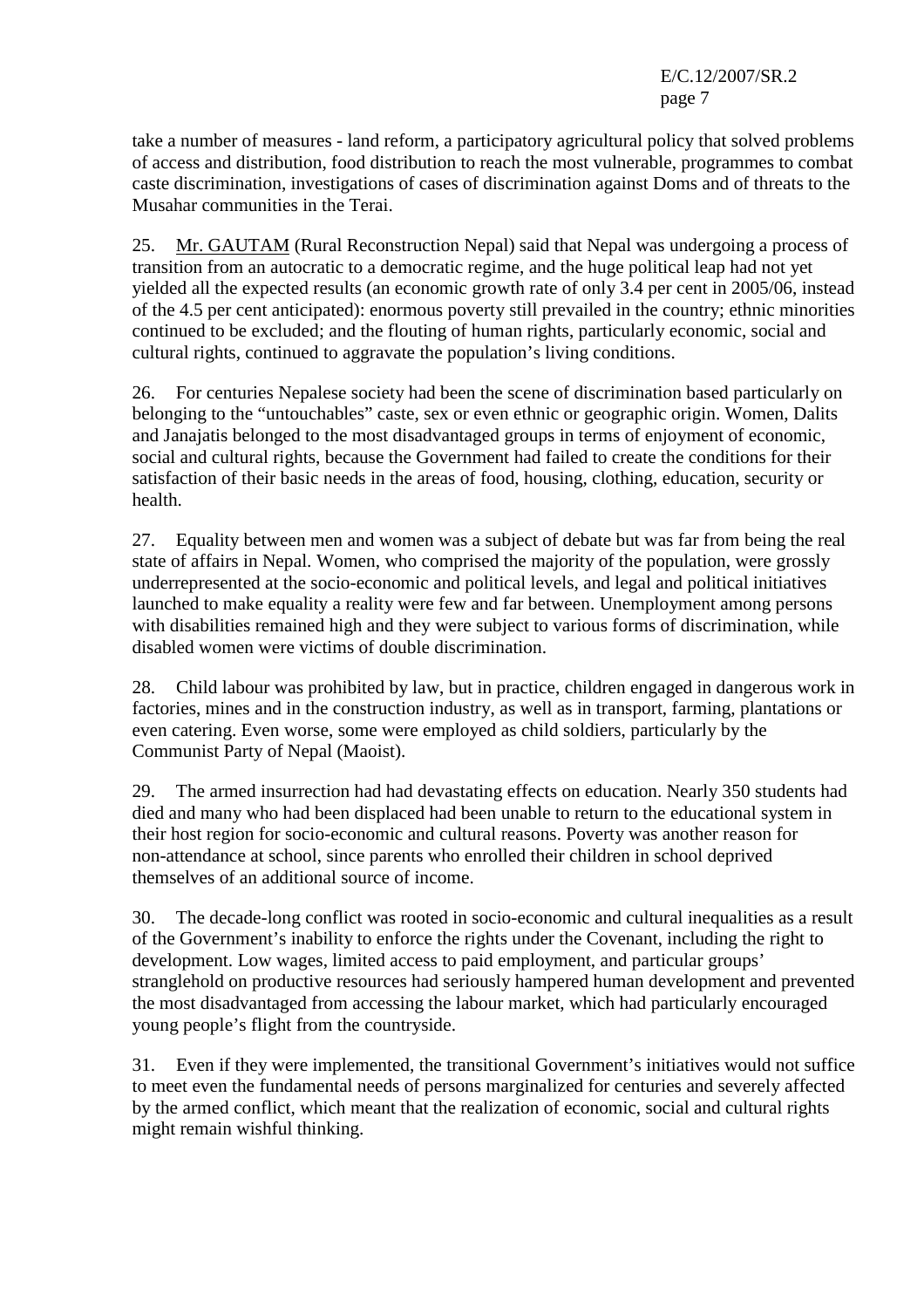take a number of measures - land reform, a participatory agricultural policy that solved problems of access and distribution, food distribution to reach the most vulnerable, programmes to combat caste discrimination, investigations of cases of discrimination against Doms and of threats to the Musahar communities in the Terai.

25. Mr. GAUTAM (Rural Reconstruction Nepal) said that Nepal was undergoing a process of transition from an autocratic to a democratic regime, and the huge political leap had not yet yielded all the expected results (an economic growth rate of only 3.4 per cent in 2005/06, instead of the 4.5 per cent anticipated): enormous poverty still prevailed in the country; ethnic minorities continued to be excluded; and the flouting of human rights, particularly economic, social and cultural rights, continued to aggravate the population's living conditions.

26. For centuries Nepalese society had been the scene of discrimination based particularly on belonging to the "untouchables" caste, sex or even ethnic or geographic origin. Women, Dalits and Janajatis belonged to the most disadvantaged groups in terms of enjoyment of economic, social and cultural rights, because the Government had failed to create the conditions for their satisfaction of their basic needs in the areas of food, housing, clothing, education, security or health.

27. Equality between men and women was a subject of debate but was far from being the real state of affairs in Nepal. Women, who comprised the majority of the population, were grossly underrepresented at the socio-economic and political levels, and legal and political initiatives launched to make equality a reality were few and far between. Unemployment among persons with disabilities remained high and they were subject to various forms of discrimination, while disabled women were victims of double discrimination.

28. Child labour was prohibited by law, but in practice, children engaged in dangerous work in factories, mines and in the construction industry, as well as in transport, farming, plantations or even catering. Even worse, some were employed as child soldiers, particularly by the Communist Party of Nepal (Maoist).

29. The armed insurrection had had devastating effects on education. Nearly 350 students had died and many who had been displaced had been unable to return to the educational system in their host region for socio-economic and cultural reasons. Poverty was another reason for non-attendance at school, since parents who enrolled their children in school deprived themselves of an additional source of income.

30. The decade-long conflict was rooted in socio-economic and cultural inequalities as a result of the Government's inability to enforce the rights under the Covenant, including the right to development. Low wages, limited access to paid employment, and particular groups' stranglehold on productive resources had seriously hampered human development and prevented the most disadvantaged from accessing the labour market, which had particularly encouraged young people's flight from the countryside.

31. Even if they were implemented, the transitional Government's initiatives would not suffice to meet even the fundamental needs of persons marginalized for centuries and severely affected by the armed conflict, which meant that the realization of economic, social and cultural rights might remain wishful thinking.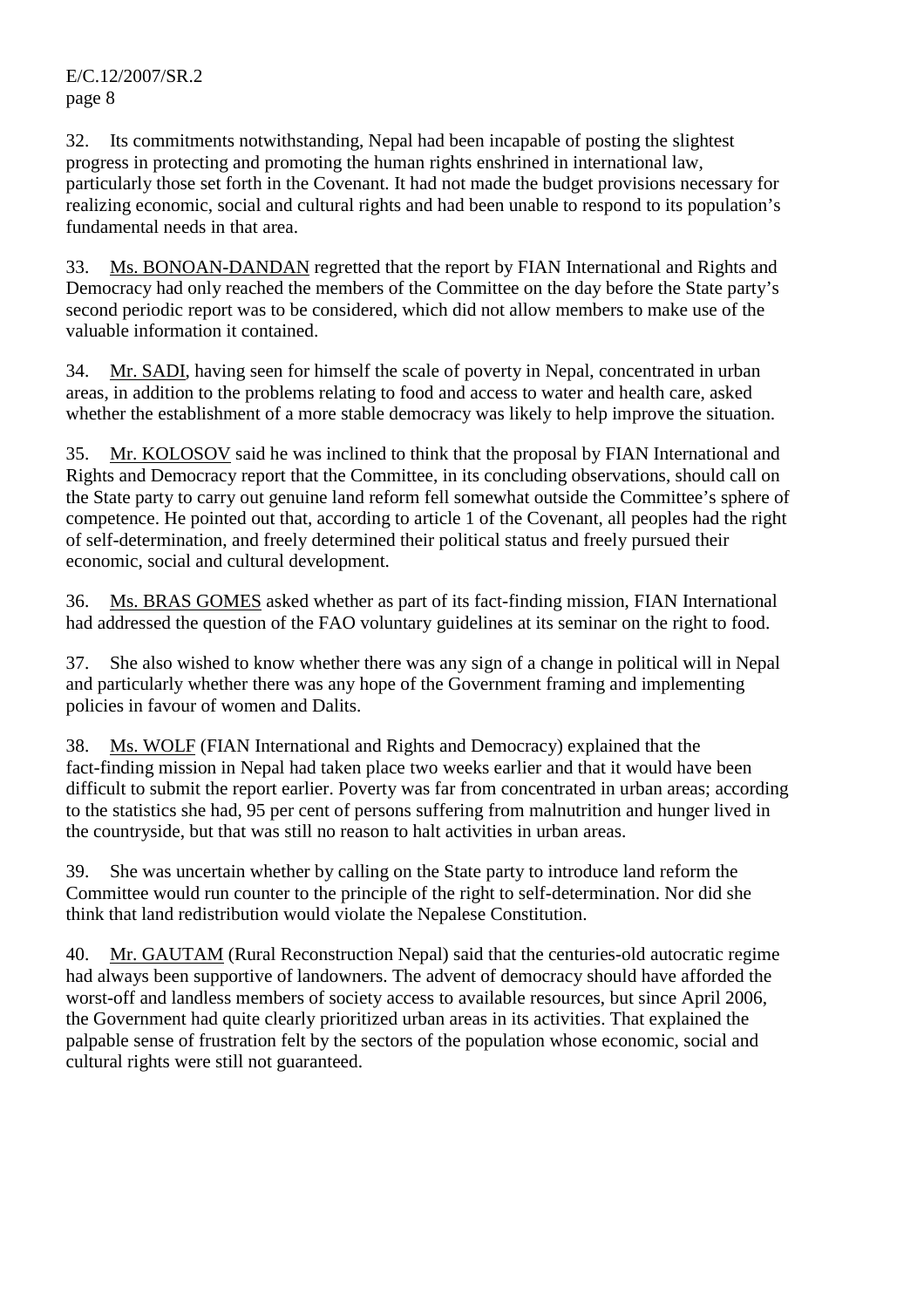32. Its commitments notwithstanding, Nepal had been incapable of posting the slightest progress in protecting and promoting the human rights enshrined in international law, particularly those set forth in the Covenant. It had not made the budget provisions necessary for realizing economic, social and cultural rights and had been unable to respond to its population's fundamental needs in that area.

33. Ms. BONOAN-DANDAN regretted that the report by FIAN International and Rights and Democracy had only reached the members of the Committee on the day before the State party's second periodic report was to be considered, which did not allow members to make use of the valuable information it contained.

34. Mr. SADI, having seen for himself the scale of poverty in Nepal, concentrated in urban areas, in addition to the problems relating to food and access to water and health care, asked whether the establishment of a more stable democracy was likely to help improve the situation.

35. Mr. KOLOSOV said he was inclined to think that the proposal by FIAN International and Rights and Democracy report that the Committee, in its concluding observations, should call on the State party to carry out genuine land reform fell somewhat outside the Committee's sphere of competence. He pointed out that, according to article 1 of the Covenant, all peoples had the right of self-determination, and freely determined their political status and freely pursued their economic, social and cultural development.

36. Ms. BRAS GOMES asked whether as part of its fact-finding mission, FIAN International had addressed the question of the FAO voluntary guidelines at its seminar on the right to food.

37. She also wished to know whether there was any sign of a change in political will in Nepal and particularly whether there was any hope of the Government framing and implementing policies in favour of women and Dalits.

38. Ms. WOLF (FIAN International and Rights and Democracy) explained that the fact-finding mission in Nepal had taken place two weeks earlier and that it would have been difficult to submit the report earlier. Poverty was far from concentrated in urban areas; according to the statistics she had, 95 per cent of persons suffering from malnutrition and hunger lived in the countryside, but that was still no reason to halt activities in urban areas.

39. She was uncertain whether by calling on the State party to introduce land reform the Committee would run counter to the principle of the right to self-determination. Nor did she think that land redistribution would violate the Nepalese Constitution.

40. Mr. GAUTAM (Rural Reconstruction Nepal) said that the centuries-old autocratic regime had always been supportive of landowners. The advent of democracy should have afforded the worst-off and landless members of society access to available resources, but since April 2006, the Government had quite clearly prioritized urban areas in its activities. That explained the palpable sense of frustration felt by the sectors of the population whose economic, social and cultural rights were still not guaranteed.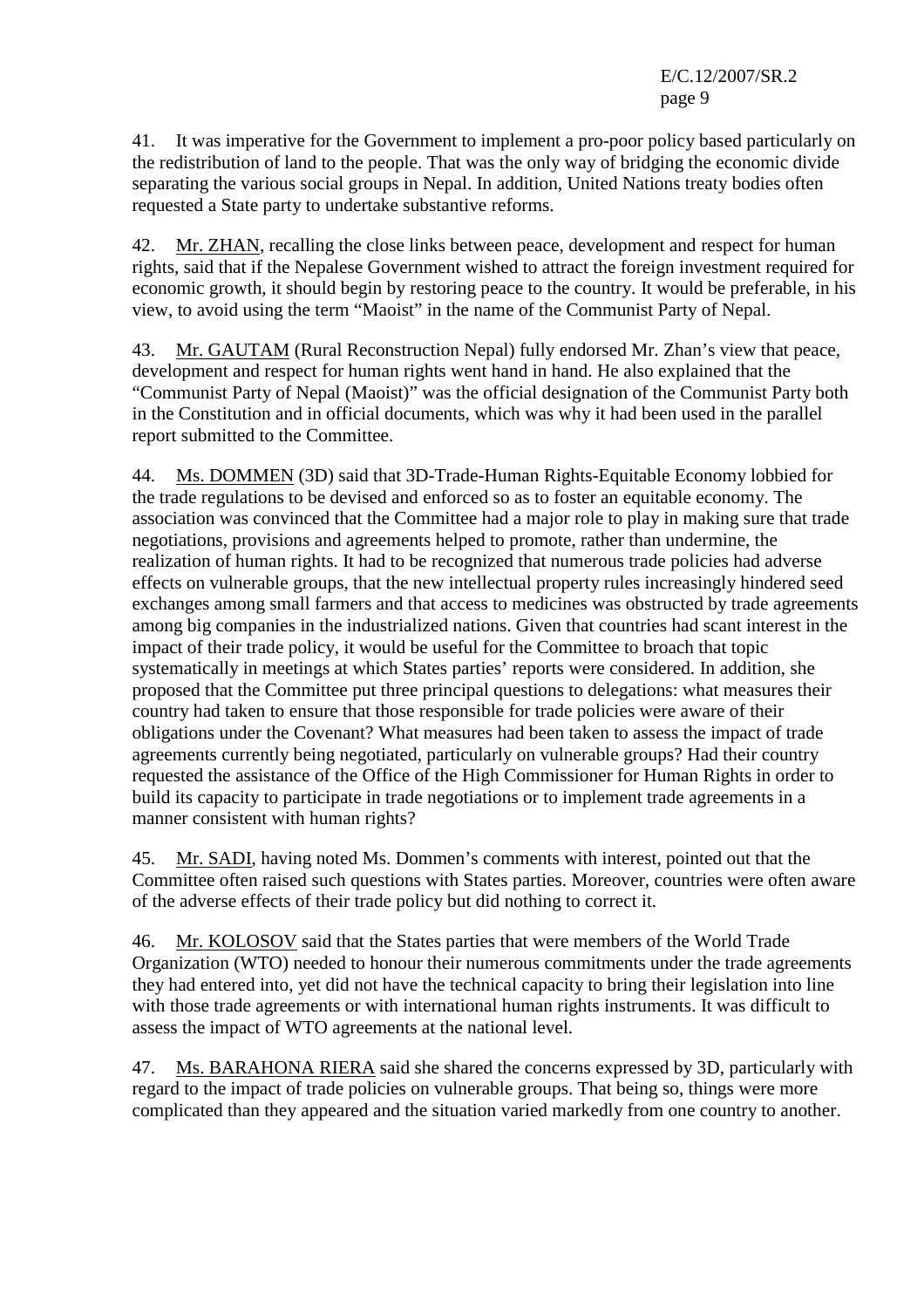41. It was imperative for the Government to implement a pro-poor policy based particularly on the redistribution of land to the people. That was the only way of bridging the economic divide separating the various social groups in Nepal. In addition, United Nations treaty bodies often requested a State party to undertake substantive reforms.

42. Mr. ZHAN, recalling the close links between peace, development and respect for human rights, said that if the Nepalese Government wished to attract the foreign investment required for economic growth, it should begin by restoring peace to the country. It would be preferable, in his view, to avoid using the term "Maoist" in the name of the Communist Party of Nepal.

43. Mr. GAUTAM (Rural Reconstruction Nepal) fully endorsed Mr. Zhan's view that peace, development and respect for human rights went hand in hand. He also explained that the "Communist Party of Nepal (Maoist)" was the official designation of the Communist Party both in the Constitution and in official documents, which was why it had been used in the parallel report submitted to the Committee.

44. Ms. DOMMEN (3D) said that 3D-Trade-Human Rights-Equitable Economy lobbied for the trade regulations to be devised and enforced so as to foster an equitable economy. The association was convinced that the Committee had a major role to play in making sure that trade negotiations, provisions and agreements helped to promote, rather than undermine, the realization of human rights. It had to be recognized that numerous trade policies had adverse effects on vulnerable groups, that the new intellectual property rules increasingly hindered seed exchanges among small farmers and that access to medicines was obstructed by trade agreements among big companies in the industrialized nations. Given that countries had scant interest in the impact of their trade policy, it would be useful for the Committee to broach that topic systematically in meetings at which States parties' reports were considered. In addition, she proposed that the Committee put three principal questions to delegations: what measures their country had taken to ensure that those responsible for trade policies were aware of their obligations under the Covenant? What measures had been taken to assess the impact of trade agreements currently being negotiated, particularly on vulnerable groups? Had their country requested the assistance of the Office of the High Commissioner for Human Rights in order to build its capacity to participate in trade negotiations or to implement trade agreements in a manner consistent with human rights?

45. Mr. SADI, having noted Ms. Dommen's comments with interest, pointed out that the Committee often raised such questions with States parties. Moreover, countries were often aware of the adverse effects of their trade policy but did nothing to correct it.

46. Mr. KOLOSOV said that the States parties that were members of the World Trade Organization (WTO) needed to honour their numerous commitments under the trade agreements they had entered into, yet did not have the technical capacity to bring their legislation into line with those trade agreements or with international human rights instruments. It was difficult to assess the impact of WTO agreements at the national level.

47. Ms. BARAHONA RIERA said she shared the concerns expressed by 3D, particularly with regard to the impact of trade policies on vulnerable groups. That being so, things were more complicated than they appeared and the situation varied markedly from one country to another.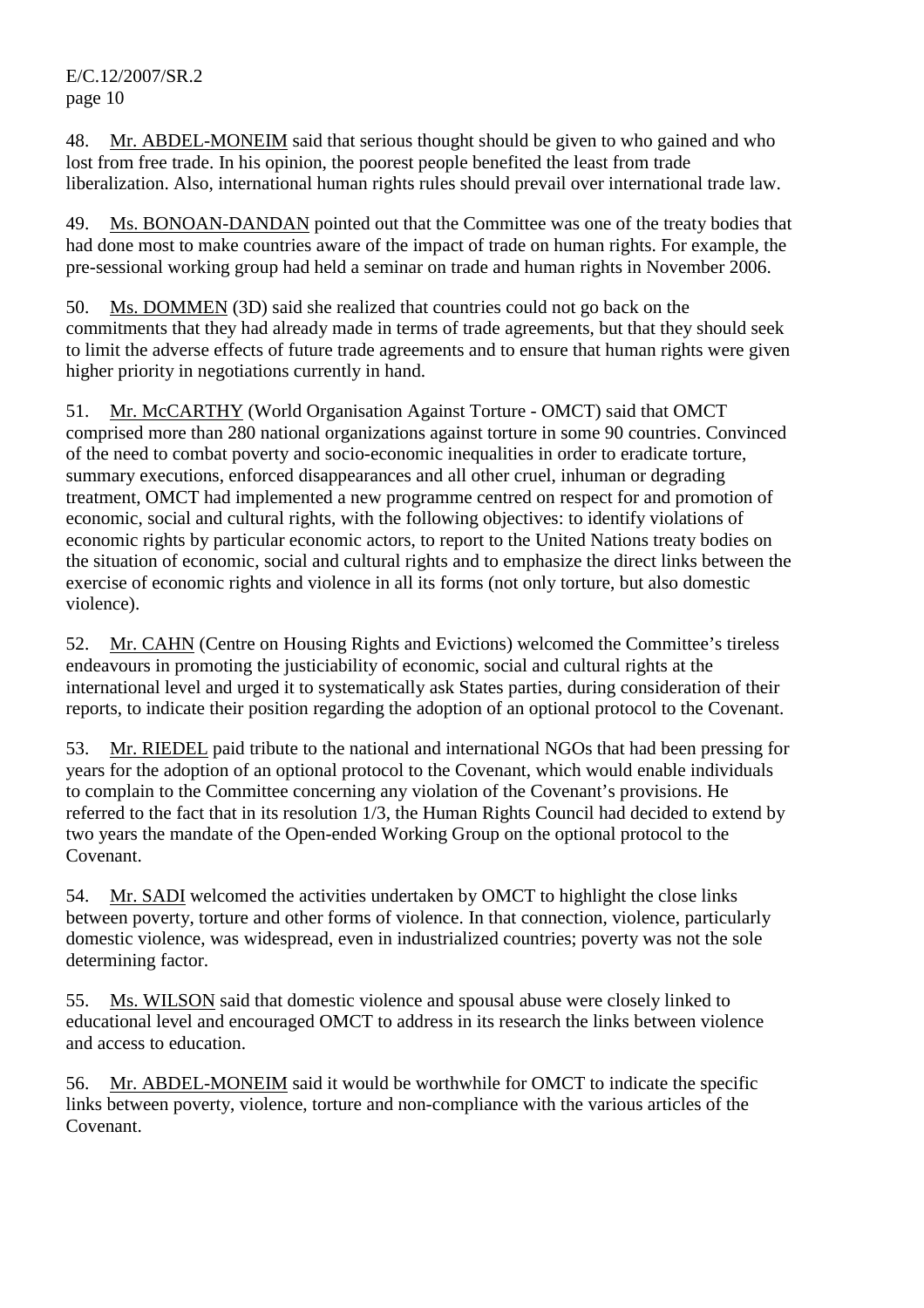48. Mr. ABDEL-MONEIM said that serious thought should be given to who gained and who lost from free trade. In his opinion, the poorest people benefited the least from trade liberalization. Also, international human rights rules should prevail over international trade law.

49. Ms. BONOAN-DANDAN pointed out that the Committee was one of the treaty bodies that had done most to make countries aware of the impact of trade on human rights. For example, the pre-sessional working group had held a seminar on trade and human rights in November 2006.

50. Ms. DOMMEN (3D) said she realized that countries could not go back on the commitments that they had already made in terms of trade agreements, but that they should seek to limit the adverse effects of future trade agreements and to ensure that human rights were given higher priority in negotiations currently in hand.

51. Mr. McCARTHY (World Organisation Against Torture - OMCT) said that OMCT comprised more than 280 national organizations against torture in some 90 countries. Convinced of the need to combat poverty and socio-economic inequalities in order to eradicate torture, summary executions, enforced disappearances and all other cruel, inhuman or degrading treatment, OMCT had implemented a new programme centred on respect for and promotion of economic, social and cultural rights, with the following objectives: to identify violations of economic rights by particular economic actors, to report to the United Nations treaty bodies on the situation of economic, social and cultural rights and to emphasize the direct links between the exercise of economic rights and violence in all its forms (not only torture, but also domestic violence).

52. Mr. CAHN (Centre on Housing Rights and Evictions) welcomed the Committee's tireless endeavours in promoting the justiciability of economic, social and cultural rights at the international level and urged it to systematically ask States parties, during consideration of their reports, to indicate their position regarding the adoption of an optional protocol to the Covenant.

53. Mr. RIEDEL paid tribute to the national and international NGOs that had been pressing for years for the adoption of an optional protocol to the Covenant, which would enable individuals to complain to the Committee concerning any violation of the Covenant's provisions. He referred to the fact that in its resolution 1/3, the Human Rights Council had decided to extend by two years the mandate of the Open-ended Working Group on the optional protocol to the Covenant.

54. Mr. SADI welcomed the activities undertaken by OMCT to highlight the close links between poverty, torture and other forms of violence. In that connection, violence, particularly domestic violence, was widespread, even in industrialized countries; poverty was not the sole determining factor.

55. Ms. WILSON said that domestic violence and spousal abuse were closely linked to educational level and encouraged OMCT to address in its research the links between violence and access to education.

56. Mr. ABDEL-MONEIM said it would be worthwhile for OMCT to indicate the specific links between poverty, violence, torture and non-compliance with the various articles of the Covenant.